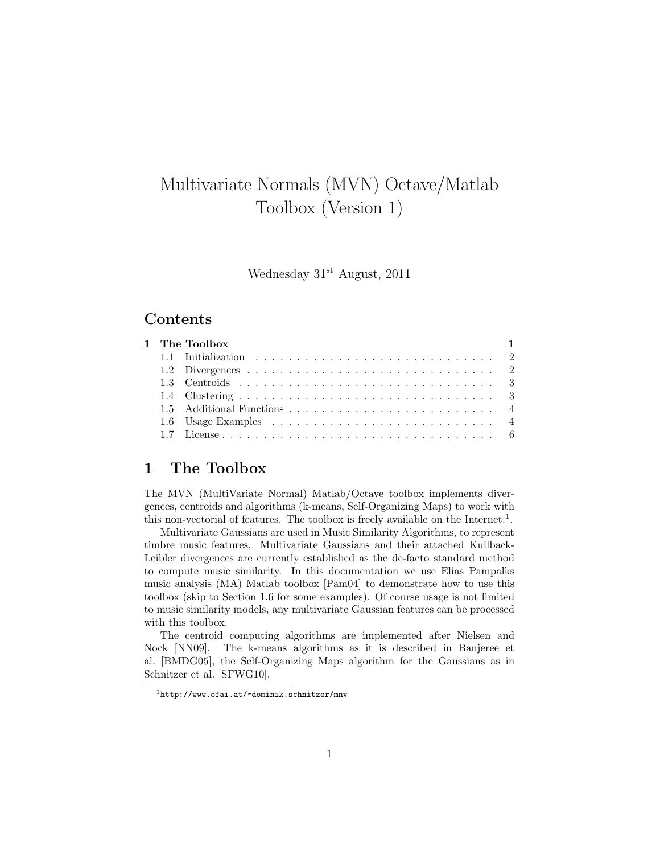# Multivariate Normals (MVN) Octave/Matlab Toolbox (Version 1)

Wednesday 31st August, 2011

# Contents

|  | 1 The Toolbox | $\blacksquare$ |
|--|---------------|----------------|
|  |               |                |
|  |               |                |
|  |               |                |
|  |               |                |
|  |               |                |
|  |               |                |
|  |               |                |

# 1 The Toolbox

The MVN (MultiVariate Normal) Matlab/Octave toolbox implements divergences, centroids and algorithms (k-means, Self-Organizing Maps) to work with this non-vectorial of features. The toolbox is freely available on the Internet.<sup>1</sup>.

Multivariate Gaussians are used in Music Similarity Algorithms, to represent timbre music features. Multivariate Gaussians and their attached Kullback-Leibler divergences are currently established as the de-facto standard method to compute music similarity. In this documentation we use Elias Pampalks music analysis (MA) Matlab toolbox [Pam04] to demonstrate how to use this toolbox (skip to Section 1.6 for some examples). Of course usage is not limited to music similarity models, any multivariate Gaussian features can be processed with this toolbox.

The centroid computing algorithms are implemented after Nielsen and Nock [NN09]. The k-means algorithms as it is described in Banjeree et al. [BMDG05], the Self-Organizing Maps algorithm for the Gaussians as in Schnitzer et al. [SFWG10].

<sup>1</sup>http://www.ofai.at/~dominik.schnitzer/mnv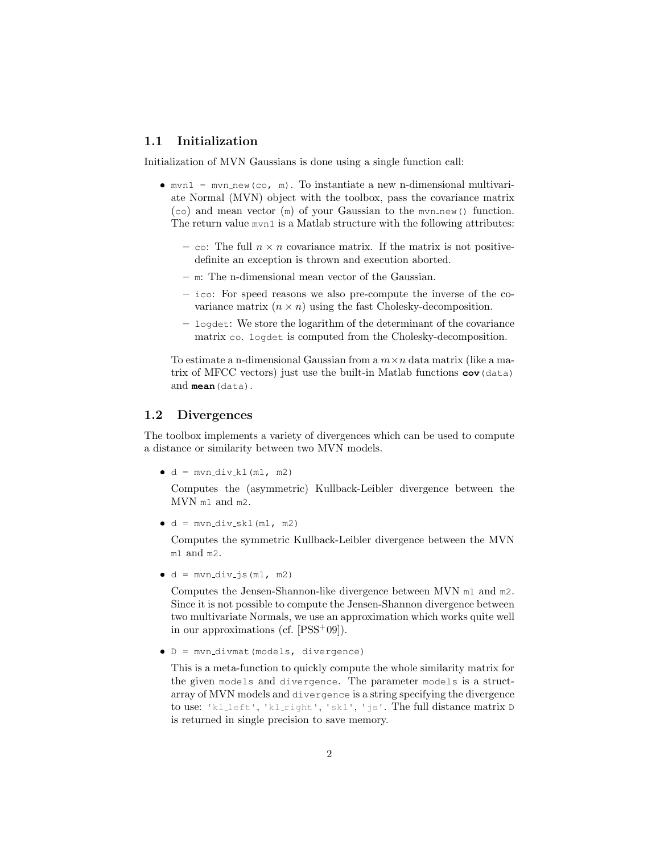## 1.1 Initialization

Initialization of MVN Gaussians is done using a single function call:

- $\bullet$  mvn1 = mvn\_new(co, m). To instantiate a new n-dimensional multivariate Normal (MVN) object with the toolbox, pass the covariance matrix  $(c)$  and mean vector  $(m)$  of your Gaussian to the mvn new() function. The return value mvn1 is a Matlab structure with the following attributes:
	- co: The full  $n \times n$  covariance matrix. If the matrix is not positivedefinite an exception is thrown and execution aborted.
	- m: The n-dimensional mean vector of the Gaussian.
	- ico: For speed reasons we also pre-compute the inverse of the covariance matrix  $(n \times n)$  using the fast Cholesky-decomposition.
	- logdet: We store the logarithm of the determinant of the covariance matrix co. logdet is computed from the Cholesky-decomposition.

To estimate a n-dimensional Gaussian from a  $m \times n$  data matrix (like a matrix of MFCC vectors) just use the built-in Matlab functions **cov**(data) and **mean**(data).

#### 1.2 Divergences

The toolbox implements a variety of divergences which can be used to compute a distance or similarity between two MVN models.

 $\bullet$  d = mvn\_div\_kl(m1, m2)

Computes the (asymmetric) Kullback-Leibler divergence between the MVN m1 and m2.

 $\bullet$  d = mvn\_div\_skl(m1, m2)

Computes the symmetric Kullback-Leibler divergence between the MVN m1 and m2.

 $\bullet$  d = mvn\_div\_js(m1, m2)

Computes the Jensen-Shannon-like divergence between MVN m1 and m2. Since it is not possible to compute the Jensen-Shannon divergence between two multivariate Normals, we use an approximation which works quite well in our approximations (cf. [PSS<sup>+</sup>09]).

D = mvn divmat(models, divergence)

This is a meta-function to quickly compute the whole similarity matrix for the given models and divergence. The parameter models is a structarray of MVN models and divergence is a string specifying the divergence to use: 'kl left', 'kl right', 'skl', 'js'. The full distance matrix D is returned in single precision to save memory.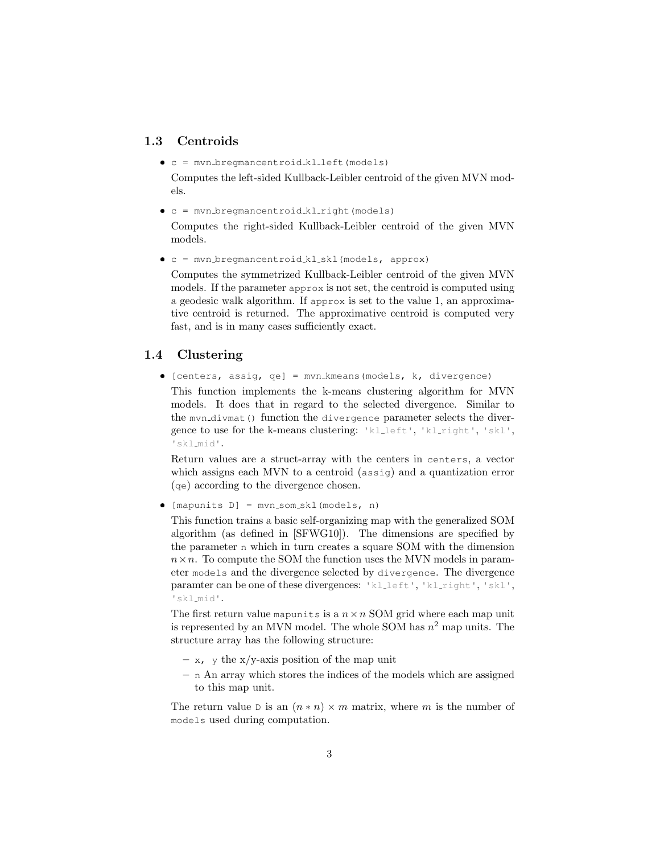## 1.3 Centroids

c = mvn bregmancentroid kl left(models)

Computes the left-sided Kullback-Leibler centroid of the given MVN models.

c = mvn bregmancentroid kl right(models)

Computes the right-sided Kullback-Leibler centroid of the given MVN models.

c = mvn bregmancentroid kl skl(models, approx)

Computes the symmetrized Kullback-Leibler centroid of the given MVN models. If the parameter approx is not set, the centroid is computed using a geodesic walk algorithm. If approx is set to the value 1, an approximative centroid is returned. The approximative centroid is computed very fast, and is in many cases sufficiently exact.

## 1.4 Clustering

 $\bullet$  [centers, assig, qe] = mvn\_kmeans(models, k, divergence)

This function implements the k-means clustering algorithm for MVN models. It does that in regard to the selected divergence. Similar to the myn\_divmat() function the divergence parameter selects the divergence to use for the k-means clustering: 'klleft', 'klright', 'skl', 'skl mid'.

Return values are a struct-array with the centers in centers, a vector which assigns each MVN to a centroid (assig) and a quantization error (qe) according to the divergence chosen.

 $\bullet$  [mapunits D] = mvn\_som\_skl(models, n)

This function trains a basic self-organizing map with the generalized SOM algorithm (as defined in [SFWG10]). The dimensions are specified by the parameter n which in turn creates a square SOM with the dimension  $n \times n$ . To compute the SOM the function uses the MVN models in parameter models and the divergence selected by divergence. The divergence paramter can be one of these divergences: 'klleft', 'klright', 'skl', 'skl mid'.

The first return value mapunits is a  $n \times n$  SOM grid where each map unit is represented by an MVN model. The whole SOM has  $n^2$  map units. The structure array has the following structure:

- $x$ , y the x/y-axis position of the map unit
- n An array which stores the indices of the models which are assigned to this map unit.

The return value D is an  $(n * n) \times m$  matrix, where m is the number of models used during computation.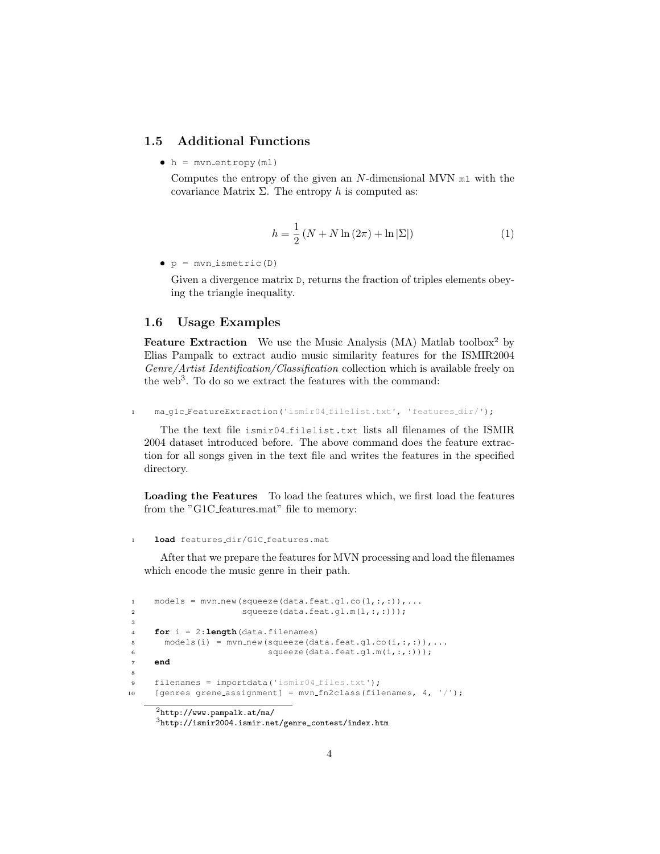#### 1.5 Additional Functions

 $h = mvn_entropy(m1)$ 

Computes the entropy of the given an  $N$ -dimensional MVN  $m1$  with the covariance Matrix  $\Sigma$ . The entropy h is computed as:

$$
h = \frac{1}{2} (N + N \ln (2\pi) + \ln |\Sigma|)
$$
 (1)

 $\bullet$  p = mvn\_ismetric(D)

Given a divergence matrix  $D$ , returns the fraction of triples elements obeying the triangle inequality.

#### 1.6 Usage Examples

**Feature Extraction** We use the Music Analysis (MA) Matlab toolbox<sup>2</sup> by Elias Pampalk to extract audio music similarity features for the ISMIR2004 Genre/Artist Identification/Classification collection which is available freely on the web<sup>3</sup>. To do so we extract the features with the command:

<sup>1</sup> ma g1c FeatureExtraction('ismir04 filelist.txt', 'features dir/');

The the text file ismir04 filelist.txt lists all filenames of the ISMIR 2004 dataset introduced before. The above command does the feature extraction for all songs given in the text file and writes the features in the specified directory.

Loading the Features To load the features which, we first load the features from the "G1C features.mat" file to memory:

```
1 load features dir/G1C features.mat
```
After that we prepare the features for MVN processing and load the filenames which encode the music genre in their path.

```
1 models = mvn_new(squeeze(data.feat.g1.co(1,:,:)),...
2 squeeze(data.feat.g1.m(1,:,:)));
3
4 for i = 2:length(data.filenames)
5 models(i) = mvm_new(squeeze(data.feat.g1.co(i,:,:)),...
6 squeeze(data.feat.g1.m(i,:,:)));
7 end
8
9 filenames = importdata('ismir04_files.txt');
10 [genres grene_assignment] = mvn_fn2class(filenames, 4, '/');
```

```
^{2}http://www.pampalk.at/ma/
```

```
3http://ismir2004.ismir.net/genre_contest/index.htm
```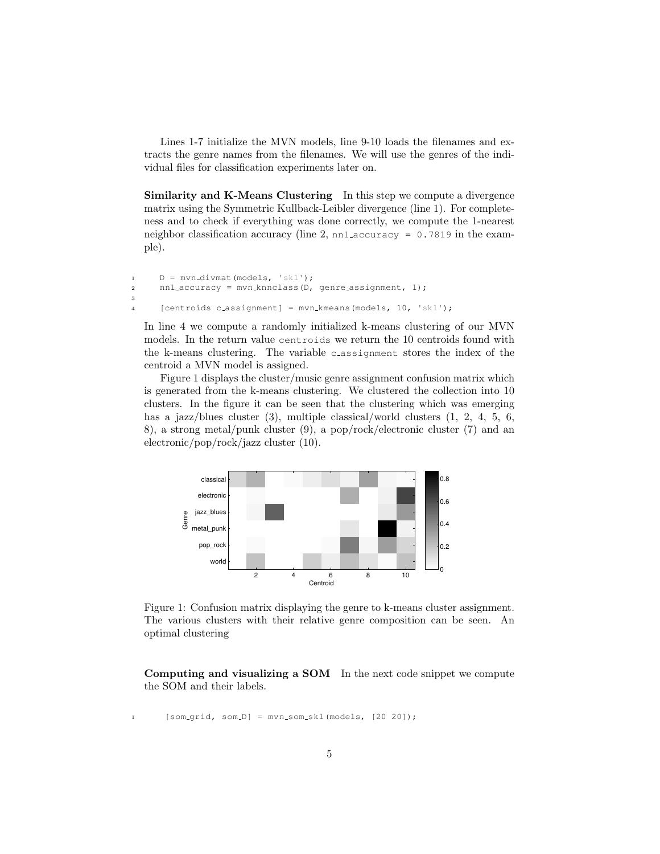Lines 1-7 initialize the MVN models, line 9-10 loads the filenames and extracts the genre names from the filenames. We will use the genres of the individual files for classification experiments later on.

Similarity and K-Means Clustering In this step we compute a divergence matrix using the Symmetric Kullback-Leibler divergence (line 1). For completeness and to check if everything was done correctly, we compute the 1-nearest neighbor classification accuracy (line 2, nn1 accuracy =  $0.7819$  in the example).

```
1 D = mvn_divmat(models, 'skl');
2 nn1 accuracy = mvn knnclass(D, genre assignment, 1);
3
4 [centroids c_assignment] = mvn_kmeans(models, 10, 'skl');
```
In line 4 we compute a randomly initialized k-means clustering of our MVN models. In the return value centroids we return the 10 centroids found with the k-means clustering. The variable c assignment stores the index of the centroid a MVN model is assigned.

Figure 1 displays the cluster/music genre assignment confusion matrix which is generated from the k-means clustering. We clustered the collection into 10 clusters. In the figure it can be seen that the clustering which was emerging has a jazz/blues cluster (3), multiple classical/world clusters (1, 2, 4, 5, 6, 8), a strong metal/punk cluster (9), a pop/rock/electronic cluster (7) and an electronic/pop/rock/jazz cluster (10).



Figure 1: Confusion matrix displaying the genre to k-means cluster assignment. The various clusters with their relative genre composition can be seen. An optimal clustering

Computing and visualizing a SOM In the next code snippet we compute the SOM and their labels.

1 [som\_grid, som\_D] = mvn\_som\_skl(models, [20 20]);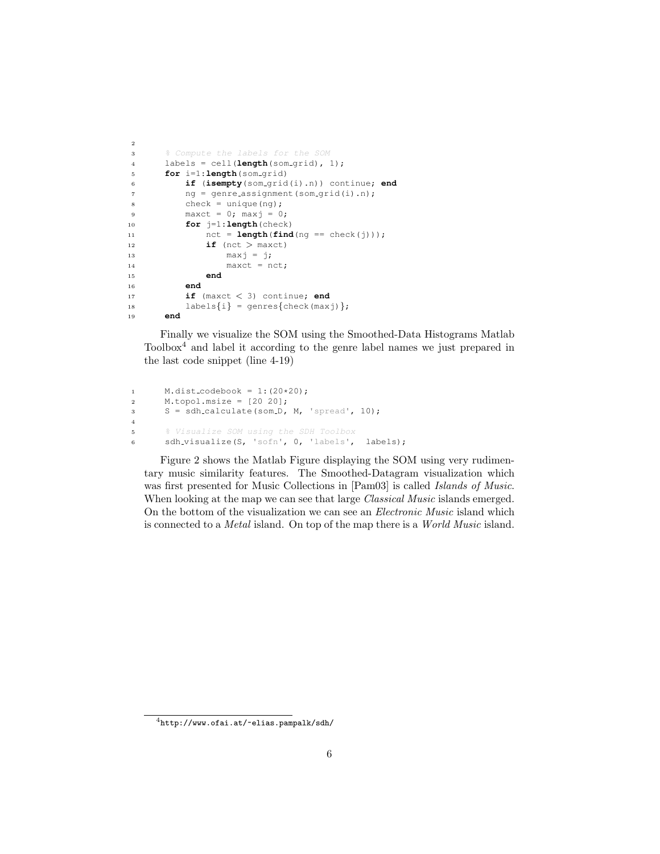```
2
3 % Compute the labels for the SOM
4 labels = cell(length(som grid), 1);
5 for i=1:length(som grid)
6 if (isempty(som grid(i).n)) continue; end
7 \text{ nq} = \text{qenre} assignment (som grid(i).n);
8 check = unique(ng);
9 maxct = 0; maxj = 0;10 for j=1:length(check)
11 \text{nct} = \text{length}(\text{find}(\text{ng} == \text{check}(i)));
12 if (\text{nct} > \text{maxct})13 maxj = j;\texttt{maxct} = \texttt{nct};15 end
16 end
17 if (maxct < 3) continue; end
18 labels\{i\} = genres\{check(maxj)\};19 end
```
Finally we visualize the SOM using the Smoothed-Data Histograms Matlab Toolbox<sup>4</sup> and label it according to the genre label names we just prepared in the last code snippet (line 4-19)

```
1 M.dist_codebook = 1:(20*20);<br>2 M.topol.msize = [20 20];M.topol.msize = [20 20];3 S = sdh calculate(som D, M, 'spread', 10);
4
5 % Visualize SOM using the SDH Toolbox
6 sdh visualize(S, 'sofn', 0, 'labels', labels);
```
Figure 2 shows the Matlab Figure displaying the SOM using very rudimentary music similarity features. The Smoothed-Datagram visualization which was first presented for Music Collections in [Pam03] is called Islands of Music. When looking at the map we can see that large *Classical Music* islands emerged. On the bottom of the visualization we can see an Electronic Music island which is connected to a Metal island. On top of the map there is a World Music island.

 $^4$ http://www.ofai.at/~elias.pampalk/sdh/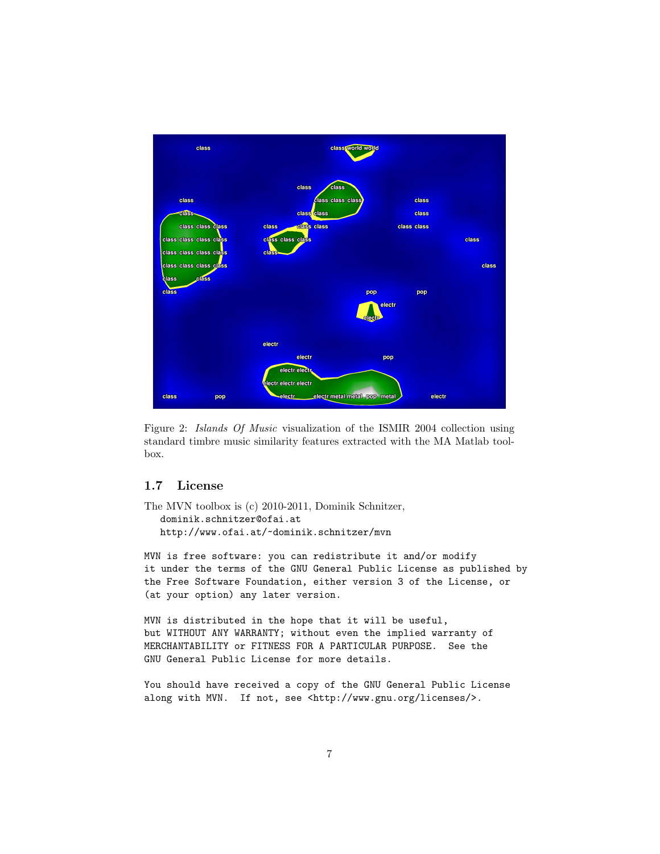

Figure 2: Islands Of Music visualization of the ISMIR 2004 collection using standard timbre music similarity features extracted with the MA Matlab toolbox.

### 1.7 License

```
The MVN toolbox is (c) 2010-2011, Dominik Schnitzer,
   dominik.schnitzer@ofai.at
  http://www.ofai.at/~dominik.schnitzer/mvn
```
MVN is free software: you can redistribute it and/or modify it under the terms of the GNU General Public License as published by the Free Software Foundation, either version 3 of the License, or (at your option) any later version.

MVN is distributed in the hope that it will be useful, but WITHOUT ANY WARRANTY; without even the implied warranty of MERCHANTABILITY or FITNESS FOR A PARTICULAR PURPOSE. See the GNU General Public License for more details.

You should have received a copy of the GNU General Public License along with MVN. If not, see <http://www.gnu.org/licenses/>.